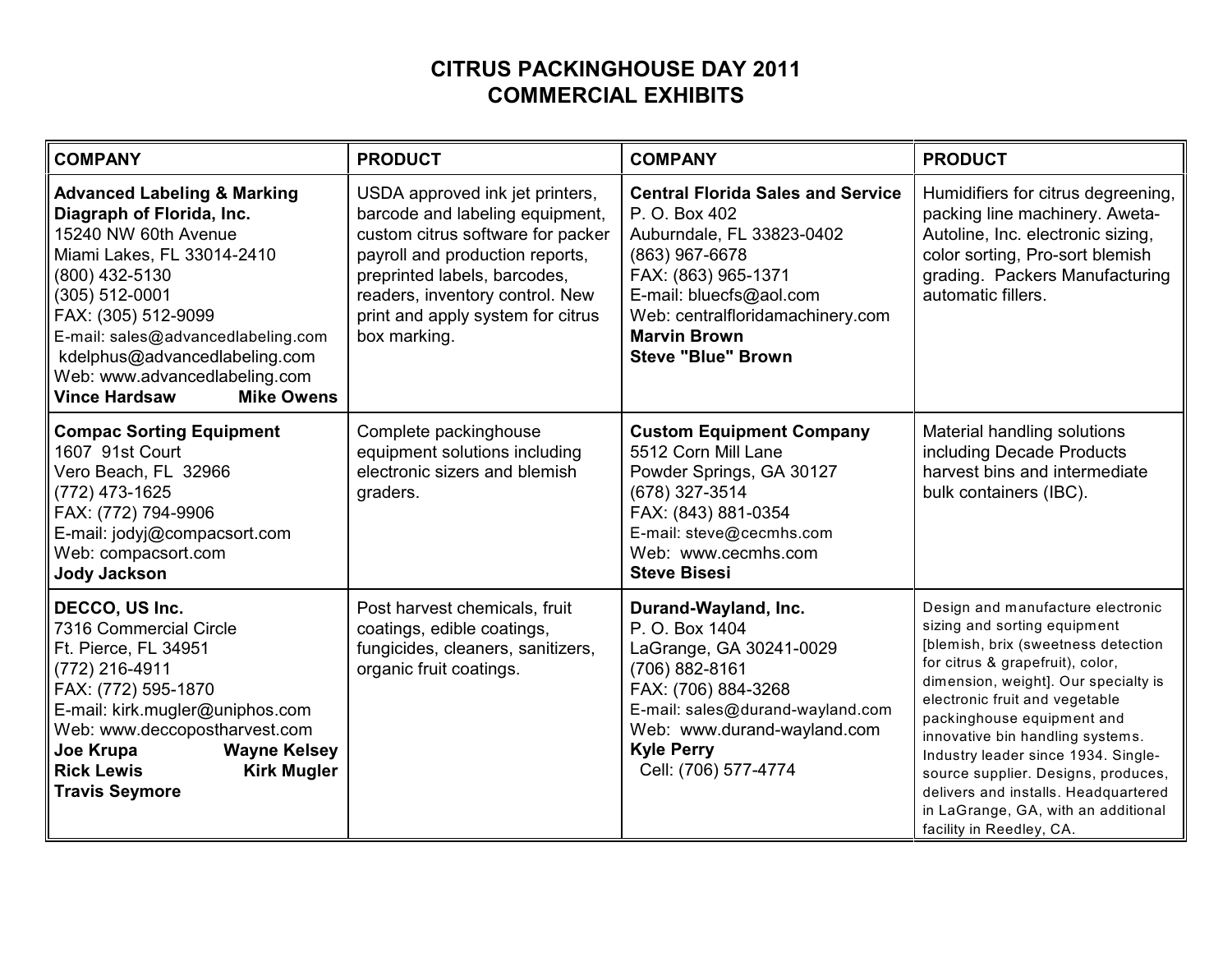## **CITRUS PACKINGHOUSE DAY 2011 COMMERCIAL EXHIBITS**

| <b>COMPANY</b>                                                                                                                                                                                                                                                                                                                            | <b>PRODUCT</b>                                                                                                                                                                                                                                                     | <b>COMPANY</b>                                                                                                                                                                                                                                     | <b>PRODUCT</b>                                                                                                                                                                                                                                                                                                                                                                                                                                                                    |
|-------------------------------------------------------------------------------------------------------------------------------------------------------------------------------------------------------------------------------------------------------------------------------------------------------------------------------------------|--------------------------------------------------------------------------------------------------------------------------------------------------------------------------------------------------------------------------------------------------------------------|----------------------------------------------------------------------------------------------------------------------------------------------------------------------------------------------------------------------------------------------------|-----------------------------------------------------------------------------------------------------------------------------------------------------------------------------------------------------------------------------------------------------------------------------------------------------------------------------------------------------------------------------------------------------------------------------------------------------------------------------------|
| <b>Advanced Labeling &amp; Marking</b><br>Diagraph of Florida, Inc.<br>15240 NW 60th Avenue<br>Miami Lakes, FL 33014-2410<br>(800) 432-5130<br>$(305) 512 - 0001$<br>FAX: (305) 512-9099<br>$E$ -mail: sales@advancedlabeling.com<br>kdelphus@advancedlabeling.com<br>Web: www.advancedlabeling.com<br>Vince Hardsaw<br><b>Mike Owens</b> | USDA approved ink jet printers,<br>barcode and labeling equipment,<br>custom citrus software for packer<br>payroll and production reports,<br>preprinted labels, barcodes,<br>readers, inventory control. New<br>print and apply system for citrus<br>box marking. | <b>Central Florida Sales and Service</b><br>P. O. Box 402<br>Auburndale, FL 33823-0402<br>(863) 967-6678<br>FAX: (863) 965-1371<br>E-mail: bluecfs@aol.com<br>Web: centralfloridamachinery.com<br><b>Marvin Brown</b><br><b>Steve "Blue" Brown</b> | Humidifiers for citrus degreening,<br>packing line machinery. Aweta-<br>Autoline, Inc. electronic sizing,<br>color sorting, Pro-sort blemish<br>grading. Packers Manufacturing<br>automatic fillers.                                                                                                                                                                                                                                                                              |
| <b>Compac Sorting Equipment</b><br>1607 91st Court<br>Vero Beach, FL 32966<br>$(772)$ 473-1625<br>FAX: (772) 794-9906<br>E-mail: jodyj@compacsort.com<br>Web: compacsort.com<br><b>Jody Jackson</b>                                                                                                                                       | Complete packinghouse<br>equipment solutions including<br>electronic sizers and blemish<br>graders.                                                                                                                                                                | <b>Custom Equipment Company</b><br>5512 Corn Mill Lane<br>Powder Springs, GA 30127<br>(678) 327-3514<br>FAX: (843) 881-0354<br>E-mail: steve@cecmhs.com<br>Web: www.cecmhs.com<br><b>Steve Bisesi</b>                                              | Material handling solutions<br>including Decade Products<br>harvest bins and intermediate<br>bulk containers (IBC).                                                                                                                                                                                                                                                                                                                                                               |
| DECCO, US Inc.<br>7316 Commercial Circle<br>Ft. Pierce, FL 34951<br>$(772)$ 216-4911<br>FAX: (772) 595-1870<br>$E$ -mail: kirk.mugler@uniphos.com<br>Web: www.deccopostharvest.com<br>Joe Krupa<br><b>Wayne Kelsey</b><br><b>Rick Lewis</b><br><b>Kirk Mugler</b><br>Travis Seymore                                                       | Post harvest chemicals, fruit<br>coatings, edible coatings,<br>fungicides, cleaners, sanitizers,<br>organic fruit coatings.                                                                                                                                        | Durand-Wayland, Inc.<br>P. O. Box 1404<br>LaGrange, GA 30241-0029<br>(706) 882-8161<br>FAX: (706) 884-3268<br>E-mail: sales@durand-wayland.com<br>Web: www.durand-wayland.com<br><b>Kyle Perry</b><br>Cell: (706) 577-4774                         | Design and manufacture electronic<br>sizing and sorting equipment<br>[blemish, brix (sweetness detection<br>for citrus & grapefruit), color,<br>dimension, weight]. Our specialty is<br>electronic fruit and vegetable<br>packinghouse equipment and<br>innovative bin handling systems.<br>Industry leader since 1934. Single-<br>source supplier. Designs, produces,<br>delivers and installs. Headquartered<br>in LaGrange, GA, with an additional<br>facility in Reedley, CA. |